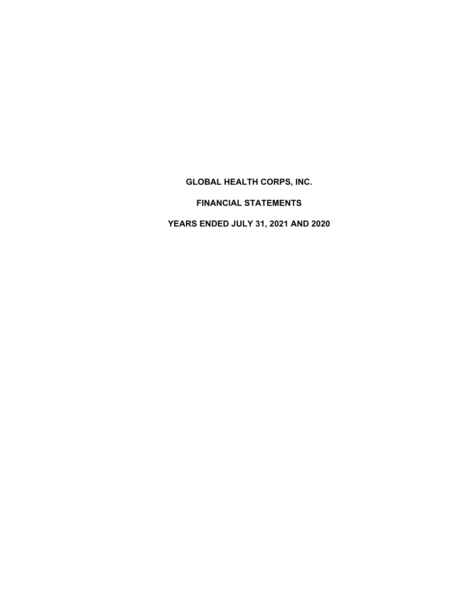**FINANCIAL STATEMENTS** 

**YEARS ENDED JULY 31, 2021 AND 2020**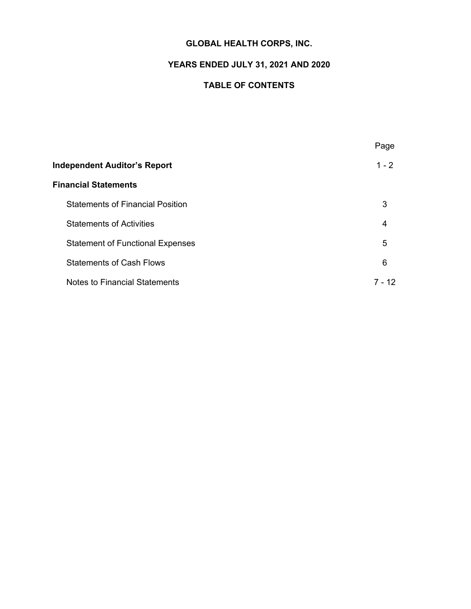# **YEARS ENDED JULY 31, 2021 AND 2020**

# **TABLE OF CONTENTS**

|                                         | Page    |
|-----------------------------------------|---------|
| <b>Independent Auditor's Report</b>     | $1 - 2$ |
| <b>Financial Statements</b>             |         |
| <b>Statements of Financial Position</b> | 3       |
| <b>Statements of Activities</b>         | 4       |
| <b>Statement of Functional Expenses</b> | 5       |
| <b>Statements of Cash Flows</b>         | 6       |
| Notes to Financial Statements           | 7 - 12  |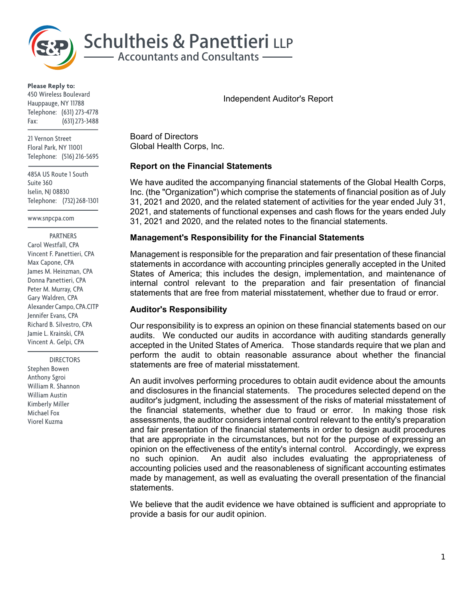

**Please Reply to:** 450 Wireless Boulevard Hauppauge, NY 11788 Telephone: (631) 273-4778 Fax: (631) 273-3488

21 Vernon Street Floral Park, NY 11001 Telephone: (516) 216-5695

485A US Route 1 South Suite 360 Iselin, NJ 08830 Telephone: (732) 268-1301

www.snpcpa.com

**PARTNERS** Carol Westfall, CPA Vincent F. Panettieri, CPA Max Capone, CPA James M. Heinzman, CPA Donna Panettieri, CPA Peter M. Murray, CPA Gary Waldren, CPA Alexander Campo, CPA.CITP Jennifer Evans, CPA Richard B. Silvestro, CPA Jamie L. Krainski, CPA Vincent A. Gelpi, CPA

DIRECTORS

Stephen Bowen Anthony Sgroi William R. Shannon William Austin Kimberly Miller Michael Fox Viorel Kuzma

Independent Auditor's Report

Board of Directors Global Health Corps, Inc.

## **Report on the Financial Statements**

We have audited the accompanying financial statements of the Global Health Corps, Inc. (the "Organization") which comprise the statements of financial position as of July 31, 2021 and 2020, and the related statement of activities for the year ended July 31, 2021, and statements of functional expenses and cash flows for the years ended July 31, 2021 and 2020, and the related notes to the financial statements.

### **Management's Responsibility for the Financial Statements**

Management is responsible for the preparation and fair presentation of these financial statements in accordance with accounting principles generally accepted in the United States of America; this includes the design, implementation, and maintenance of internal control relevant to the preparation and fair presentation of financial statements that are free from material misstatement, whether due to fraud or error.

### **Auditor's Responsibility**

Our responsibility is to express an opinion on these financial statements based on our audits. We conducted our audits in accordance with auditing standards generally accepted in the United States of America. Those standards require that we plan and perform the audit to obtain reasonable assurance about whether the financial statements are free of material misstatement.

An audit involves performing procedures to obtain audit evidence about the amounts and disclosures in the financial statements. The procedures selected depend on the auditor's judgment, including the assessment of the risks of material misstatement of the financial statements, whether due to fraud or error. In making those risk assessments, the auditor considers internal control relevant to the entity's preparation and fair presentation of the financial statements in order to design audit procedures that are appropriate in the circumstances, but not for the purpose of expressing an opinion on the effectiveness of the entity's internal control. Accordingly, we express no such opinion. An audit also includes evaluating the appropriateness of accounting policies used and the reasonableness of significant accounting estimates made by management, as well as evaluating the overall presentation of the financial statements.

We believe that the audit evidence we have obtained is sufficient and appropriate to provide a basis for our audit opinion.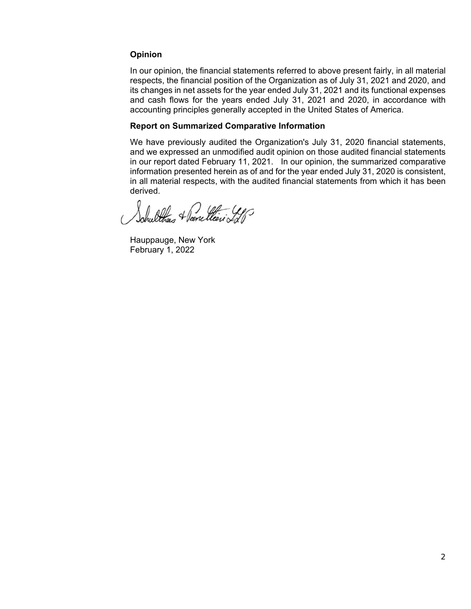## **Opinion**

In our opinion, the financial statements referred to above present fairly, in all material respects, the financial position of the Organization as of July 31, 2021 and 2020, and its changes in net assets for the year ended July 31, 2021 and its functional expenses and cash flows for the years ended July 31, 2021 and 2020, in accordance with accounting principles generally accepted in the United States of America.

### **Report on Summarized Comparative Information**

We have previously audited the Organization's July 31, 2020 financial statements, and we expressed an unmodified audit opinion on those audited financial statements in our report dated February 11, 2021. In our opinion, the summarized comparative information presented herein as of and for the year ended July 31, 2020 is consistent, in all material respects, with the audited financial statements from which it has been derived.

hulthas & Panellein Il

Hauppauge, New York February 1, 2022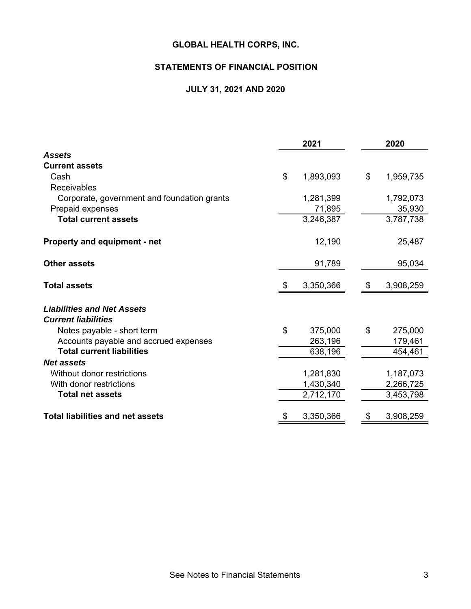# **STATEMENTS OF FINANCIAL POSITION**

## **JULY 31, 2021 AND 2020**

|                                                                 | 2021 |           | 2020 |           |  |
|-----------------------------------------------------------------|------|-----------|------|-----------|--|
| <b>Assets</b>                                                   |      |           |      |           |  |
| <b>Current assets</b>                                           |      |           |      |           |  |
| Cash                                                            | \$   | 1,893,093 | \$   | 1,959,735 |  |
| Receivables                                                     |      |           |      |           |  |
| Corporate, government and foundation grants                     |      | 1,281,399 |      | 1,792,073 |  |
| Prepaid expenses                                                |      | 71,895    |      | 35,930    |  |
| <b>Total current assets</b>                                     |      | 3,246,387 |      | 3,787,738 |  |
| Property and equipment - net                                    |      | 12,190    |      | 25,487    |  |
| <b>Other assets</b>                                             |      | 91,789    |      | 95,034    |  |
| <b>Total assets</b>                                             | \$   | 3,350,366 | \$   | 3,908,259 |  |
| <b>Liabilities and Net Assets</b><br><b>Current liabilities</b> |      |           |      |           |  |
| Notes payable - short term                                      | \$   | 375,000   | \$   | 275,000   |  |
| Accounts payable and accrued expenses                           |      | 263,196   |      | 179,461   |  |
| <b>Total current liabilities</b>                                |      | 638,196   |      | 454,461   |  |
| <b>Net assets</b>                                               |      |           |      |           |  |
| Without donor restrictions                                      |      | 1,281,830 |      | 1,187,073 |  |
| With donor restrictions                                         |      | 1,430,340 |      | 2,266,725 |  |
| <b>Total net assets</b>                                         |      | 2,712,170 |      | 3,453,798 |  |
| <b>Total liabilities and net assets</b>                         | \$   | 3,350,366 | \$   | 3,908,259 |  |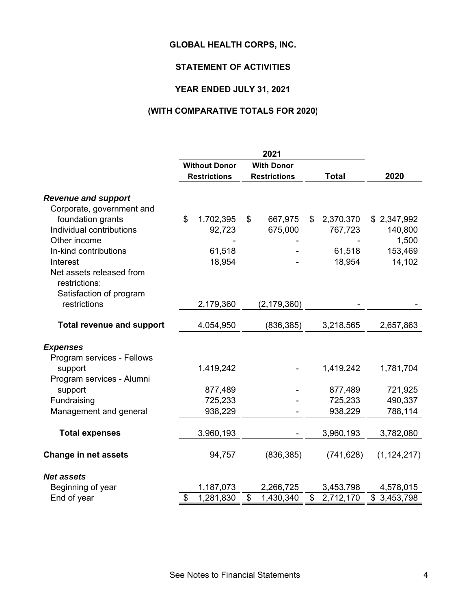# **STATEMENT OF ACTIVITIES**

# **YEAR ENDED JULY 31, 2021**

## **(WITH COMPARATIVE TOTALS FOR 2020)**

|                                  | <b>Without Donor</b> |                           | <b>With Donor</b> |              |            |               |
|----------------------------------|----------------------|---------------------------|-------------------|--------------|------------|---------------|
|                                  | <b>Restrictions</b>  | <b>Restrictions</b>       |                   | <b>Total</b> |            | 2020          |
| <b>Revenue and support</b>       |                      |                           |                   |              |            |               |
| Corporate, government and        |                      |                           |                   |              |            |               |
| foundation grants                | \$<br>1,702,395      | $\boldsymbol{\mathsf{S}}$ | 667,975           | \$           | 2,370,370  | \$2,347,992   |
| Individual contributions         | 92,723               |                           | 675,000           |              | 767,723    | 140,800       |
| Other income                     |                      |                           |                   |              |            | 1,500         |
| In-kind contributions            | 61,518               |                           |                   |              | 61,518     | 153,469       |
| Interest                         | 18,954               |                           |                   |              | 18,954     | 14,102        |
| Net assets released from         |                      |                           |                   |              |            |               |
| restrictions:                    |                      |                           |                   |              |            |               |
| Satisfaction of program          |                      |                           |                   |              |            |               |
| restrictions                     | 2,179,360            |                           | (2, 179, 360)     |              |            |               |
| <b>Total revenue and support</b> | 4,054,950            |                           | (836, 385)        |              | 3,218,565  | 2,657,863     |
|                                  |                      |                           |                   |              |            |               |
| <b>Expenses</b>                  |                      |                           |                   |              |            |               |
| Program services - Fellows       |                      |                           |                   |              |            |               |
| support                          | 1,419,242            |                           |                   |              | 1,419,242  | 1,781,704     |
| Program services - Alumni        |                      |                           |                   |              |            |               |
| support                          | 877,489              |                           |                   |              | 877,489    | 721,925       |
| Fundraising                      | 725,233              |                           |                   |              | 725,233    | 490,337       |
| Management and general           | 938,229              |                           |                   |              | 938,229    | 788,114       |
|                                  |                      |                           |                   |              |            |               |
| <b>Total expenses</b>            | 3,960,193            |                           |                   |              | 3,960,193  | 3,782,080     |
| <b>Change in net assets</b>      | 94,757               |                           | (836, 385)        |              | (741, 628) | (1, 124, 217) |
| <b>Net assets</b>                |                      |                           |                   |              |            |               |
| Beginning of year                | 1,187,073            |                           | 2,266,725         |              | 3,453,798  | 4,578,015     |
| End of year                      | \$<br>1,281,830      | \$                        | 1,430,340         | \$           | 2,712,170  | \$3,453,798   |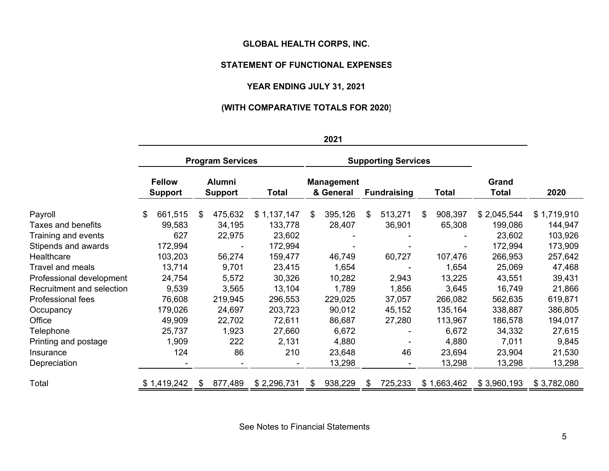## **STATEMENT OF FUNCTIONAL EXPENSES**

## **YEAR ENDING JULY 31, 2021**

## **(WITH COMPARATIVE TOTALS FOR 2020)**

| × |
|---|
|---|

|                           | <b>Program Services</b>         |    |                                 |              |    | <b>Supporting Services</b>     |    |                    |              |             |                       |             |
|---------------------------|---------------------------------|----|---------------------------------|--------------|----|--------------------------------|----|--------------------|--------------|-------------|-----------------------|-------------|
|                           | <b>Fellow</b><br><b>Support</b> |    | <b>Alumni</b><br><b>Support</b> | <b>Total</b> |    | <b>Management</b><br>& General |    | <b>Fundraising</b> | <b>Total</b> |             | Grand<br><b>Total</b> | 2020        |
| Payroll                   | \$<br>661,515                   | \$ | 475,632                         | \$1,137,147  | \$ | 395,126                        | \$ | 513,271            | \$           | 908,397     | \$2,045,544           | \$1,719,910 |
| <b>Taxes and benefits</b> | 99,583                          |    | 34,195                          | 133,778      |    | 28,407                         |    | 36,901             |              | 65,308      | 199,086               | 144,947     |
| Training and events       | 627                             |    | 22,975                          | 23,602       |    |                                |    |                    |              |             | 23,602                | 103,926     |
|                           | 172,994                         |    |                                 |              |    |                                |    |                    |              |             | 172,994               |             |
| Stipends and awards       |                                 |    |                                 | 172,994      |    |                                |    |                    |              |             |                       | 173,909     |
| Healthcare                | 103,203                         |    | 56,274                          | 159,477      |    | 46,749                         |    | 60,727             |              | 107,476     | 266,953               | 257,642     |
| Travel and meals          | 13,714                          |    | 9,701                           | 23,415       |    | 1,654                          |    |                    |              | 1,654       | 25,069                | 47,468      |
| Professional development  | 24,754                          |    | 5,572                           | 30,326       |    | 10,282                         |    | 2,943              |              | 13,225      | 43,551                | 39,431      |
| Recruitment and selection | 9,539                           |    | 3,565                           | 13,104       |    | 1,789                          |    | 1,856              |              | 3,645       | 16,749                | 21,866      |
| Professional fees         | 76,608                          |    | 219,945                         | 296,553      |    | 229,025                        |    | 37,057             |              | 266,082     | 562,635               | 619,871     |
| Occupancy                 | 179,026                         |    | 24,697                          | 203,723      |    | 90,012                         |    | 45,152             |              | 135,164     | 338,887               | 386,805     |
| Office                    | 49,909                          |    | 22,702                          | 72,611       |    | 86,687                         |    | 27,280             |              | 113,967     | 186,578               | 194,017     |
| Telephone                 | 25,737                          |    | 1,923                           | 27,660       |    | 6,672                          |    |                    |              | 6,672       | 34,332                | 27,615      |
| Printing and postage      | 1,909                           |    | 222                             | 2,131        |    | 4,880                          |    |                    |              | 4,880       | 7,011                 | 9,845       |
| Insurance                 | 124                             |    | 86                              | 210          |    | 23,648                         |    | 46                 |              | 23,694      | 23,904                | 21,530      |
| Depreciation              |                                 |    |                                 |              |    | 13,298                         |    | $\blacksquare$     |              | 13,298      | 13,298                | 13,298      |
| Total                     | \$1,419,242                     | \$ | 877,489                         | \$2,296,731  | \$ | 938,229                        |    | 725,233            |              | \$1,663,462 | \$3,960,193           | \$3,782,080 |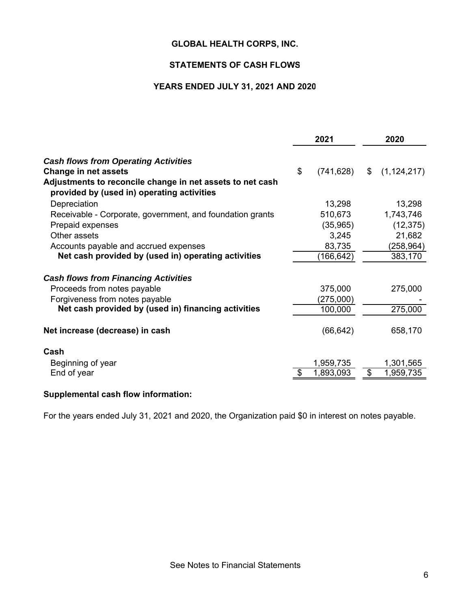# **STATEMENTS OF CASH FLOWS**

## **YEARS ENDED JULY 31, 2021 AND 2020**

|                                                           | 2021            |                | 2020          |
|-----------------------------------------------------------|-----------------|----------------|---------------|
| <b>Cash flows from Operating Activities</b>               |                 |                |               |
| <b>Change in net assets</b>                               | \$<br>(741,628) | $\mathfrak{S}$ | (1, 124, 217) |
| Adjustments to reconcile change in net assets to net cash |                 |                |               |
| provided by (used in) operating activities                |                 |                |               |
| Depreciation                                              | 13,298          |                | 13,298        |
| Receivable - Corporate, government, and foundation grants | 510,673         |                | 1,743,746     |
| Prepaid expenses                                          | (35, 965)       |                | (12, 375)     |
| Other assets                                              | 3,245           |                | 21,682        |
| Accounts payable and accrued expenses                     | 83,735          |                | (258, 964)    |
| Net cash provided by (used in) operating activities       | (166,642)       |                | 383,170       |
| <b>Cash flows from Financing Activities</b>               |                 |                |               |
| Proceeds from notes payable                               | 375,000         |                | 275,000       |
| Forgiveness from notes payable                            | (275,000)       |                |               |
| Net cash provided by (used in) financing activities       | 100,000         |                | 275,000       |
| Net increase (decrease) in cash                           | (66, 642)       |                | 658,170       |
| Cash                                                      |                 |                |               |
| Beginning of year                                         | 1,959,735       |                | 1,301,565     |
| End of year                                               | 1,893,093       | \$             | 1,959,735     |

## **Supplemental cash flow information:**

For the years ended July 31, 2021 and 2020, the Organization paid \$0 in interest on notes payable.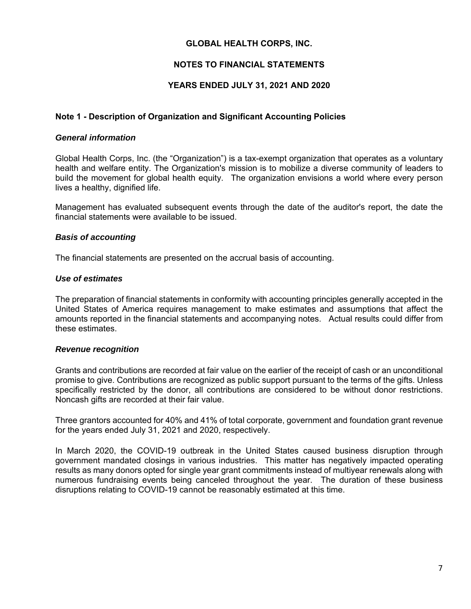## **NOTES TO FINANCIAL STATEMENTS**

## **YEARS ENDED JULY 31, 2021 AND 2020**

## **Note 1 - Description of Organization and Significant Accounting Policies**

#### *General information*

Global Health Corps, Inc. (the "Organization") is a tax-exempt organization that operates as a voluntary health and welfare entity. The Organization's mission is to mobilize a diverse community of leaders to build the movement for global health equity. The organization envisions a world where every person lives a healthy, dignified life.

Management has evaluated subsequent events through the date of the auditor's report, the date the financial statements were available to be issued.

### *Basis of accounting*

The financial statements are presented on the accrual basis of accounting.

### *Use of estimates*

The preparation of financial statements in conformity with accounting principles generally accepted in the United States of America requires management to make estimates and assumptions that affect the amounts reported in the financial statements and accompanying notes. Actual results could differ from these estimates.

#### *Revenue recognition*

Grants and contributions are recorded at fair value on the earlier of the receipt of cash or an unconditional promise to give. Contributions are recognized as public support pursuant to the terms of the gifts. Unless specifically restricted by the donor, all contributions are considered to be without donor restrictions. Noncash gifts are recorded at their fair value.

Three grantors accounted for 40% and 41% of total corporate, government and foundation grant revenue for the years ended July 31, 2021 and 2020, respectively.

In March 2020, the COVID-19 outbreak in the United States caused business disruption through government mandated closings in various industries. This matter has negatively impacted operating results as many donors opted for single year grant commitments instead of multiyear renewals along with numerous fundraising events being canceled throughout the year. The duration of these business disruptions relating to COVID-19 cannot be reasonably estimated at this time.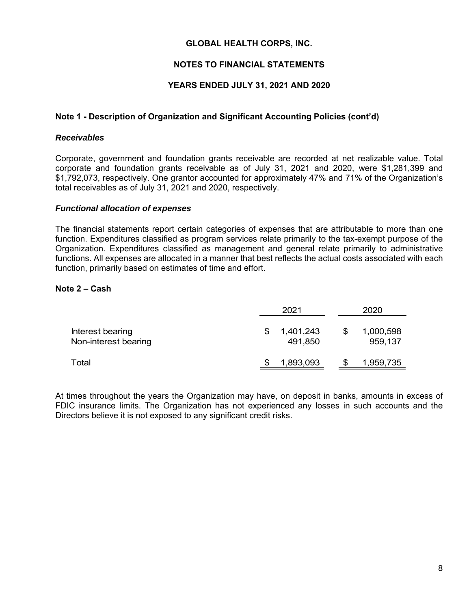## **NOTES TO FINANCIAL STATEMENTS**

## **YEARS ENDED JULY 31, 2021 AND 2020**

## **Note 1 - Description of Organization and Significant Accounting Policies (cont'd)**

#### *Receivables*

Corporate, government and foundation grants receivable are recorded at net realizable value. Total corporate and foundation grants receivable as of July 31, 2021 and 2020, were \$1,281,399 and \$1,792,073, respectively. One grantor accounted for approximately 47% and 71% of the Organization's total receivables as of July 31, 2021 and 2020, respectively.

#### *Functional allocation of expenses*

The financial statements report certain categories of expenses that are attributable to more than one function. Expenditures classified as program services relate primarily to the tax-exempt purpose of the Organization. Expenditures classified as management and general relate primarily to administrative functions. All expenses are allocated in a manner that best reflects the actual costs associated with each function, primarily based on estimates of time and effort.

#### **Note 2 – Cash**

|                                          | 2021 |                      |  | 2020 |                      |  |  |
|------------------------------------------|------|----------------------|--|------|----------------------|--|--|
| Interest bearing<br>Non-interest bearing |      | 1,401,243<br>491,850 |  | S    | 1,000,598<br>959,137 |  |  |
| Total                                    |      | 1,893,093            |  |      | 1,959,735            |  |  |

At times throughout the years the Organization may have, on deposit in banks, amounts in excess of FDIC insurance limits. The Organization has not experienced any losses in such accounts and the Directors believe it is not exposed to any significant credit risks.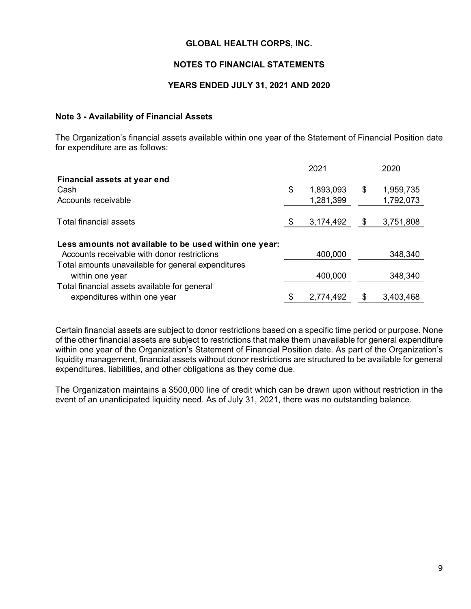### **NOTES TO FINANCIAL STATEMENTS**

#### **YEARS ENDED JULY 31, 2021 AND 2020**

#### **Note 3 - Availability of Financial Assets**

The Organization's financial assets available within one year of the Statement of Financial Position date for expenditure are as follows:

|                                                        | 2021            | 2020            |
|--------------------------------------------------------|-----------------|-----------------|
| Financial assets at year end                           |                 |                 |
| Cash                                                   | \$<br>1,893,093 | \$<br>1,959,735 |
| Accounts receivable                                    | 1,281,399       | 1,792,073       |
| Total financial assets                                 | 3,174,492       | \$<br>3,751,808 |
| Less amounts not available to be used within one year: |                 |                 |
| Accounts receivable with donor restrictions            | 400,000         | 348,340         |
| Total amounts unavailable for general expenditures     |                 |                 |
| within one year                                        | 400,000         | 348,340         |
| Total financial assets available for general           |                 |                 |
| expenditures within one year                           | 2,774,492       | \$<br>3,403,468 |

Certain financial assets are subject to donor restrictions based on a specific time period or purpose. None of the other financial assets are subject to restrictions that make them unavailable for general expenditure within one year of the Organization's Statement of Financial Position date. As part of the Organization's liquidity management, financial assets without donor restrictions are structured to be available for general expenditures, liabilities, and other obligations as they come due.

The Organization maintains a \$500,000 line of credit which can be drawn upon without restriction in the event of an unanticipated liquidity need. As of July 31, 2021, there was no outstanding balance.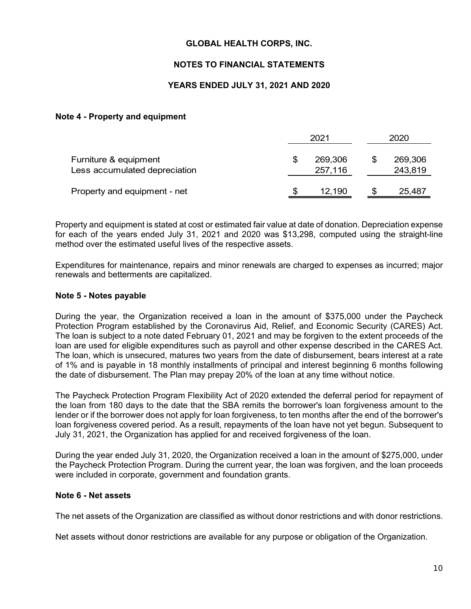## **NOTES TO FINANCIAL STATEMENTS**

### **YEARS ENDED JULY 31, 2021 AND 2020**

#### **Note 4 - Property and equipment**

|                                                        |    | 2021               |   | 2020               |
|--------------------------------------------------------|----|--------------------|---|--------------------|
| Furniture & equipment<br>Less accumulated depreciation | £. | 269,306<br>257,116 |   | 269,306<br>243,819 |
| Property and equipment - net                           |    | 12,190             | S | 25,487             |

Property and equipment is stated at cost or estimated fair value at date of donation. Depreciation expense for each of the years ended July 31, 2021 and 2020 was \$13,298, computed using the straight-line method over the estimated useful lives of the respective assets.

Expenditures for maintenance, repairs and minor renewals are charged to expenses as incurred; major renewals and betterments are capitalized.

#### **Note 5 - Notes payable**

During the year, the Organization received a loan in the amount of \$375,000 under the Paycheck Protection Program established by the Coronavirus Aid, Relief, and Economic Security (CARES) Act. The loan is subject to a note dated February 01, 2021 and may be forgiven to the extent proceeds of the loan are used for eligible expenditures such as payroll and other expense described in the CARES Act. The loan, which is unsecured, matures two years from the date of disbursement, bears interest at a rate of 1% and is payable in 18 monthly installments of principal and interest beginning 6 months following the date of disbursement. The Plan may prepay 20% of the loan at any time without notice.

The Paycheck Protection Program Flexibility Act of 2020 extended the deferral period for repayment of the loan from 180 days to the date that the SBA remits the borrower's loan forgiveness amount to the lender or if the borrower does not apply for loan forgiveness, to ten months after the end of the borrower's loan forgiveness covered period. As a result, repayments of the loan have not yet begun. Subsequent to July 31, 2021, the Organization has applied for and received forgiveness of the loan.

During the year ended July 31, 2020, the Organization received a loan in the amount of \$275,000, under the Paycheck Protection Program. During the current year, the loan was forgiven, and the loan proceeds were included in corporate, government and foundation grants.

#### **Note 6 - Net assets**

The net assets of the Organization are classified as without donor restrictions and with donor restrictions.

Net assets without donor restrictions are available for any purpose or obligation of the Organization.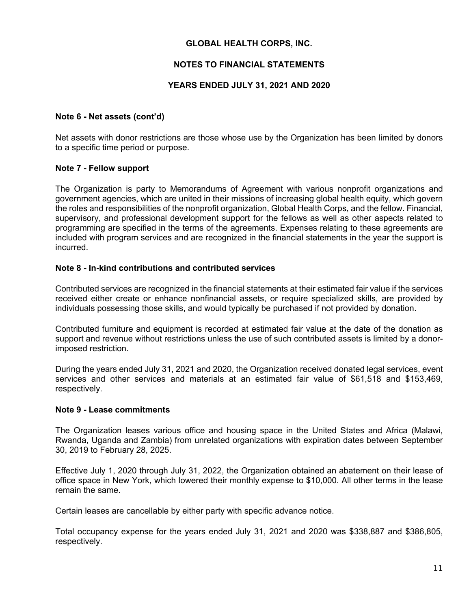## **NOTES TO FINANCIAL STATEMENTS**

### **YEARS ENDED JULY 31, 2021 AND 2020**

### **Note 6 - Net assets (cont'd)**

Net assets with donor restrictions are those whose use by the Organization has been limited by donors to a specific time period or purpose.

#### **Note 7 - Fellow support**

The Organization is party to Memorandums of Agreement with various nonprofit organizations and government agencies, which are united in their missions of increasing global health equity, which govern the roles and responsibilities of the nonprofit organization, Global Health Corps, and the fellow. Financial, supervisory, and professional development support for the fellows as well as other aspects related to programming are specified in the terms of the agreements. Expenses relating to these agreements are included with program services and are recognized in the financial statements in the year the support is incurred.

#### **Note 8 - In-kind contributions and contributed services**

Contributed services are recognized in the financial statements at their estimated fair value if the services received either create or enhance nonfinancial assets, or require specialized skills, are provided by individuals possessing those skills, and would typically be purchased if not provided by donation.

Contributed furniture and equipment is recorded at estimated fair value at the date of the donation as support and revenue without restrictions unless the use of such contributed assets is limited by a donorimposed restriction.

During the years ended July 31, 2021 and 2020, the Organization received donated legal services, event services and other services and materials at an estimated fair value of \$61,518 and \$153,469, respectively.

#### **Note 9 - Lease commitments**

The Organization leases various office and housing space in the United States and Africa (Malawi, Rwanda, Uganda and Zambia) from unrelated organizations with expiration dates between September 30, 2019 to February 28, 2025.

Effective July 1, 2020 through July 31, 2022, the Organization obtained an abatement on their lease of office space in New York, which lowered their monthly expense to \$10,000. All other terms in the lease remain the same.

Certain leases are cancellable by either party with specific advance notice.

Total occupancy expense for the years ended July 31, 2021 and 2020 was \$338,887 and \$386,805, respectively.